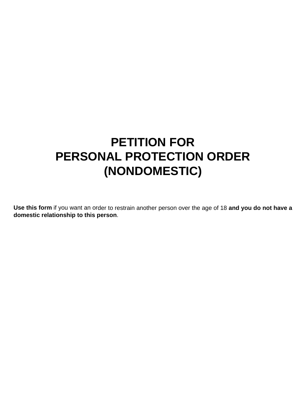# **PETITION FOR PERSONAL PROTECTION ORDER (NONDOMESTIC)**

**Use this form** if you want an order to restrain another person over the age of 18 **and you do not have a domestic relationship to this person**.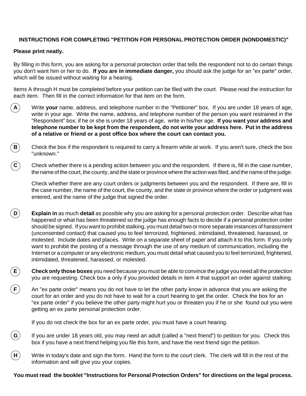# **INSTRUCTIONS FOR COMPLETING "PETITION FOR PERSONAL PROTECTION ORDER (NONDOMESTIC)"**

# **Please print neatly.**

**E**

**F**

By filling in this form, you are asking for a personal protection order that tells the respondent not to do certain things you don't want him or her to do. **If you are in immediate danger,** you should ask the judge for an "ex parte" order, which will be issued without waiting for a hearing.

Items A through H must be completed before your petition can be filed with the court. Please read the instruction for each item. Then fill in the correct information for that item on the form.

- **A** Write **your** name, address, and telephone number in the "Petitioner" box. If you are under 18 years of age, write in your age. Write the name, address, and telephone number of the person you want restrained in the "Respondent" box; if he or she is under 18 years of age, write in his/her age. **If you want your address and telephone number to be kept from the respondent, do not write your address here. Put in the address of a relative or friend or a post office box where the court can contact you.**
- **B** Check the box if the respondent is required to carry a firearm while at work. If you aren't sure, check the box "unknown."
- **C** Check whether there is a pending action between you and the respondent. If there is, fill in the case number, the name of the court, the county, and the state or province where the action was filed, and the name of the judge.

Check whether there are any court orders or judgments between you and the respondent. If there are, fill in the case number, the name of the court, the county, and the state or province where the order or judgment was entered, and the name of the judge that signed the order.

- **D Explain in** as much **detail** as possible why you are asking for a personal protection order. Describe what has happened or what has been threatened so the judge has enough facts to decide if a personal protection order should be signed. If you want to prohibit stalking, you must detail two or more separate instances of harassment (unconsented contact) that caused you to feel terrorized, frightened, intimidated, threatened, harassed, or molested. Include dates and places. Write on a separate sheet of paper and attach it to this form. If you only want to prohibit the posting of a message through the use of any medium of communication, including the Internet or a computer or any electronic medium, you must detail what caused you to feel terrorized, frightened, intimidated, threatened, harassed, or molested.
	- **Check only those boxes** you need because you must be able to convince the judge you need all the protection you are requesting. Check box a only if you provided details in item 4 that support an order against stalking.
	- An "ex parte order" means you do not have to let the other party know in advance that you are asking the court for an order and you do not have to wait for a court hearing to get the order. Check the box for an "ex parte order" if you believe the other party might hurt you or threaten you if he or she found out you were getting an ex parte personal protection order.

If you do not check the box for an ex parte order, you must have a court hearing.

- **G** If you are under 18 years old, you may need an adult (called a "next friend") to petition for you. Check this box if you have a next friend helping you file this form, and have the next friend sign the petition.
- **H** Write in today's date and sign the form. Hand the form to the court clerk. The clerk will fill in the rest of the information and will give you your copies.

**You must read the booklet "Instructions for Personal Protection Orders" for directions on the legal process.**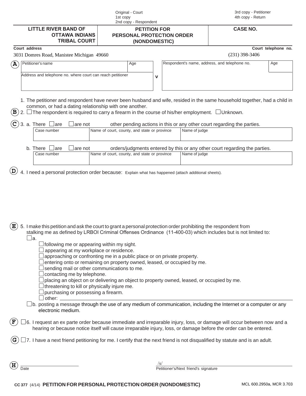| Original - Court      |
|-----------------------|
| 1st copy              |
| 2nd copy - Respondent |

|  | 3rd copy - Petitioner |
|--|-----------------------|
|  | 4th copy - Return     |

| .                     |
|-----------------------|
| <b>OTTAWA INDIANS</b> |
| <b>TRIBAL COURT</b>   |

#### **LITTLE RIVER BAND OF CASE NO. PETITION FOR PERSONAL PROTECTION ORDER (NONDOMESTIC)**

### **Court address Court telephone no.**

|  | 2021 Domroe Dood Menistee Mis |  |
|--|-------------------------------|--|

|             | 3031 Domres Road, Manistee Michigan 49660                                                                                                                                                                                                                                                 |     |             | $(231)$ 398-3406                                                                         |     |
|-------------|-------------------------------------------------------------------------------------------------------------------------------------------------------------------------------------------------------------------------------------------------------------------------------------------|-----|-------------|------------------------------------------------------------------------------------------|-----|
| $\bf{(A)}$  | Petitioner's name                                                                                                                                                                                                                                                                         | Age |             | Respondent's name, address, and telephone no.                                            | Age |
|             | Address and telephone no. where court can reach petitioner                                                                                                                                                                                                                                |     | $\mathbf v$ |                                                                                          |     |
| $\mathbf B$ | 1. The petitioner and respondent have never been husband and wife, resided in the same household together, had a child in<br>common, or had a dating relationship with one another.<br>The respondent is required to carry a firearm in the course of his/her employment. $\Box$ Unknown. |     |             |                                                                                          |     |
|             | $\Box$ are<br>3. a. There<br>are not<br>Name of court, county, and state or province<br>Case number                                                                                                                                                                                       |     |             | other pending actions in this or any other court regarding the parties.<br>Name of judge |     |
|             |                                                                                                                                                                                                                                                                                           |     |             |                                                                                          |     |
|             | b. There<br>$\Box$ are<br>are not                                                                                                                                                                                                                                                         |     |             | orders/judgments entered by this or any other court regarding the parties.               |     |
|             | Name of court, county, and state or province<br>Case number                                                                                                                                                                                                                               |     |             | Name of judge                                                                            |     |
|             |                                                                                                                                                                                                                                                                                           |     |             |                                                                                          |     |
|             | 4. I need a personal protection order because: Explain what has happened (attach additional sheets).                                                                                                                                                                                      |     |             |                                                                                          |     |
|             |                                                                                                                                                                                                                                                                                           |     |             |                                                                                          |     |
|             | 5. I make this petition and ask the court to grant a personal protection order prohibiting the respondent from<br>stalking me as defined by LRBOI Criminal Offenses Ordinance (11-400-03) which includes but is not limited to:<br>∐a.<br>following me or appearing within my sight.      |     |             |                                                                                          |     |
|             | appearing at my workplace or residence.<br>approaching or confronting me in a public place or on private property.<br>entering onto or remaining on property owned, leased, or occupied by me.<br>sending mail or other communications to me.<br>contacting me by telephone.              |     |             |                                                                                          |     |

- 
- $\Box$  placing an object on or delivering an object to property owned, leased, or occupied by me.
- $\Box$  threatening to kill or physically injure me.
- $\Box$  purchasing or possessing a firearm.
- $\Box$  other:  $\Box$
- $\Box$ b. posting a message through the use of any medium of communication, including the Internet or a computer or any electronic medium.

/s/

- $\Box$ 6. I request an ex parte order because immediate and irreparable injury, loss, or damage will occur between now and a hearing or because notice itself will cause irreparable injury, loss, or damage before the order can be entered. **F**
- $\square$ 7. I have a next friend petitioning for me. I certify that the next friend is not disqualified by statute and is an adult. **G**

**H**

Date **Date Petitioner's/Next friend's signature**